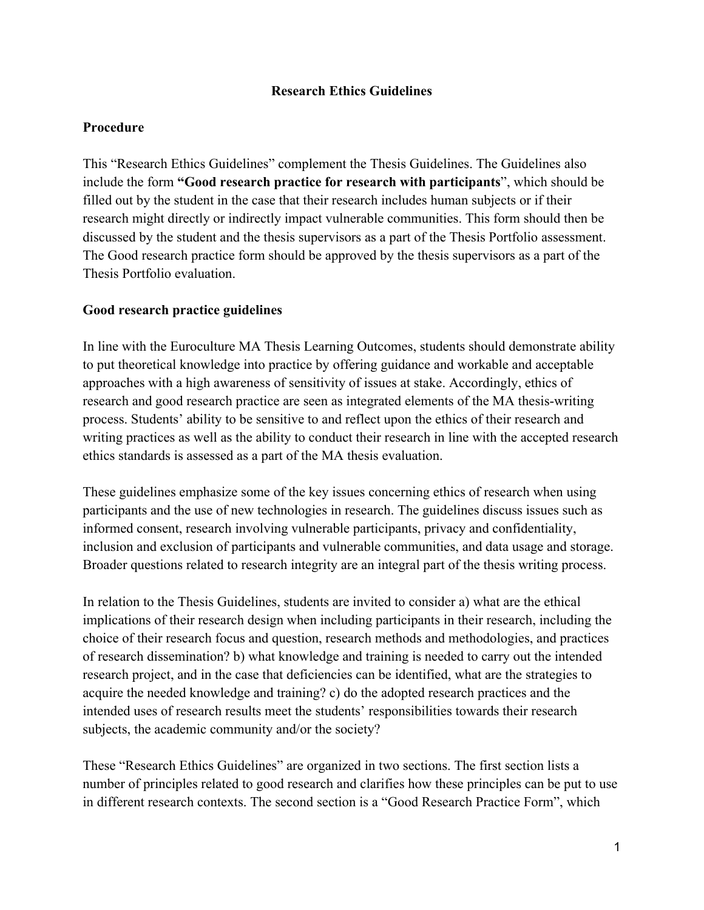### **Research Ethics Guidelines**

## **Procedure**

This "Research Ethics Guidelines" complement the Thesis Guidelines. The Guidelines also include the form **"Good research practice for research with participants**", which should be filled out by the student in the case that their research includes human subjects or if their research might directly or indirectly impact vulnerable communities. This form should then be discussed by the student and the thesis supervisors as a part of the Thesis Portfolio assessment. The Good research practice form should be approved by the thesis supervisors as a part of the Thesis Portfolio evaluation.

# **Good research practice guidelines**

In line with the Euroculture MA Thesis Learning Outcomes, students should demonstrate ability to put theoretical knowledge into practice by offering guidance and workable and acceptable approaches with a high awareness of sensitivity of issues at stake. Accordingly, ethics of research and good research practice are seen as integrated elements of the MA thesis-writing process. Students' ability to be sensitive to and reflect upon the ethics of their research and writing practices as well as the ability to conduct their research in line with the accepted research ethics standards is assessed as a part of the MA thesis evaluation.

These guidelines emphasize some of the key issues concerning ethics of research when using participants and the use of new technologies in research. The guidelines discuss issues such as informed consent, research involving vulnerable participants, privacy and confidentiality, inclusion and exclusion of participants and vulnerable communities, and data usage and storage. Broader questions related to research integrity are an integral part of the thesis writing process.

In relation to the Thesis Guidelines, students are invited to consider a) what are the ethical implications of their research design when including participants in their research, including the choice of their research focus and question, research methods and methodologies, and practices of research dissemination? b) what knowledge and training is needed to carry out the intended research project, and in the case that deficiencies can be identified, what are the strategies to acquire the needed knowledge and training? c) do the adopted research practices and the intended uses of research results meet the students' responsibilities towards their research subjects, the academic community and/or the society?

These "Research Ethics Guidelines" are organized in two sections. The first section lists a number of principles related to good research and clarifies how these principles can be put to use in different research contexts. The second section is a "Good Research Practice Form", which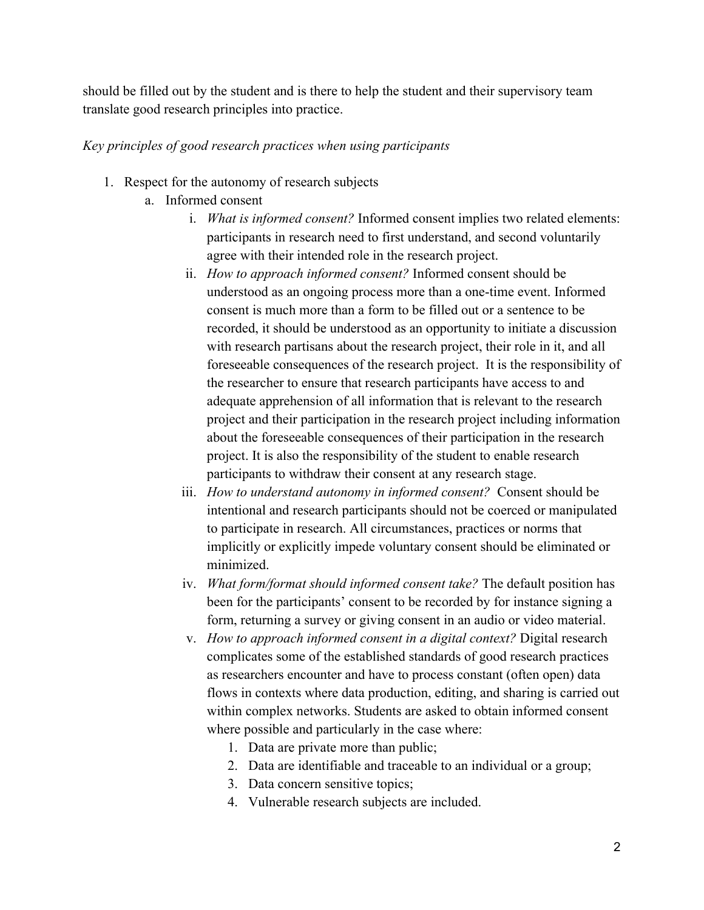should be filled out by the student and is there to help the student and their supervisory team translate good research principles into practice.

#### *Key principles of good research practices when using participants*

- 1. Respect for the autonomy of research subjects
	- a. Informed consent
		- i. *What is informed consent?* Informed consent implies two related elements: participants in research need to first understand, and second voluntarily agree with their intended role in the research project.
		- ii. *How to approach informed consent?* Informed consent should be understood as an ongoing process more than a one-time event. Informed consent is much more than a form to be filled out or a sentence to be recorded, it should be understood as an opportunity to initiate a discussion with research partisans about the research project, their role in it, and all foreseeable consequences of the research project. It is the responsibility of the researcher to ensure that research participants have access to and adequate apprehension of all information that is relevant to the research project and their participation in the research project including information about the foreseeable consequences of their participation in the research project. It is also the responsibility of the student to enable research participants to withdraw their consent at any research stage.
		- iii. *How to understand autonomy in informed consent?* Consent should be intentional and research participants should not be coerced or manipulated to participate in research. All circumstances, practices or norms that implicitly or explicitly impede voluntary consent should be eliminated or minimized.
		- iv. *What form/format should informed consent take?* The default position has been for the participants' consent to be recorded by for instance signing a form, returning a survey or giving consent in an audio or video material.
		- v. *How to approach informed consent in a digital context?* Digital research complicates some of the established standards of good research practices as researchers encounter and have to process constant (often open) data flows in contexts where data production, editing, and sharing is carried out within complex networks. Students are asked to obtain informed consent where possible and particularly in the case where:
			- 1. Data are private more than public;
			- 2. Data are identifiable and traceable to an individual or a group;
			- 3. Data concern sensitive topics;
			- 4. Vulnerable research subjects are included.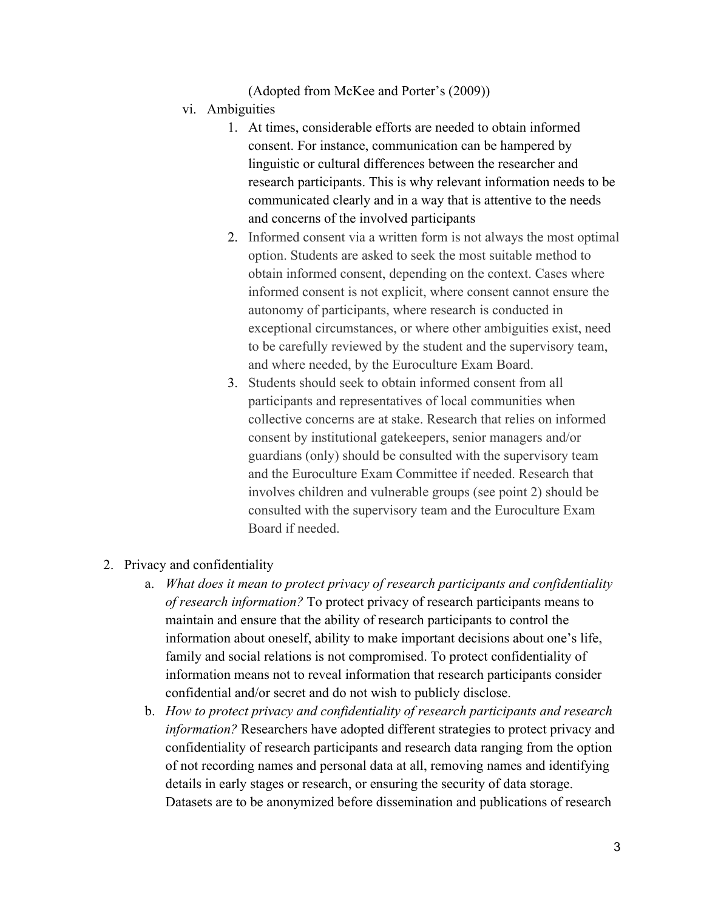(Adopted from McKee and Porter's (2009))

- vi. Ambiguities
	- 1. At times, considerable efforts are needed to obtain informed consent. For instance, communication can be hampered by linguistic or cultural differences between the researcher and research participants. This is why relevant information needs to be communicated clearly and in a way that is attentive to the needs and concerns of the involved participants
	- 2. Informed consent via a written form is not always the most optimal option. Students are asked to seek the most suitable method to obtain informed consent, depending on the context. Cases where informed consent is not explicit, where consent cannot ensure the autonomy of participants, where research is conducted in exceptional circumstances, or where other ambiguities exist, need to be carefully reviewed by the student and the supervisory team, and where needed, by the Euroculture Exam Board.
	- 3. Students should seek to obtain informed consent from all participants and representatives of local communities when collective concerns are at stake. Research that relies on informed consent by institutional gatekeepers, senior managers and/or guardians (only) should be consulted with the supervisory team and the Euroculture Exam Committee if needed. Research that involves children and vulnerable groups (see point 2) should be consulted with the supervisory team and the Euroculture Exam Board if needed.
- 2. Privacy and confidentiality
	- a. *What does it mean to protect privacy of research participants and confidentiality of research information?* To protect privacy of research participants means to maintain and ensure that the ability of research participants to control the information about oneself, ability to make important decisions about one's life, family and social relations is not compromised. To protect confidentiality of information means not to reveal information that research participants consider confidential and/or secret and do not wish to publicly disclose.
	- b. *How to protect privacy and confidentiality of research participants and research information?* Researchers have adopted different strategies to protect privacy and confidentiality of research participants and research data ranging from the option of not recording names and personal data at all, removing names and identifying details in early stages or research, or ensuring the security of data storage. Datasets are to be anonymized before dissemination and publications of research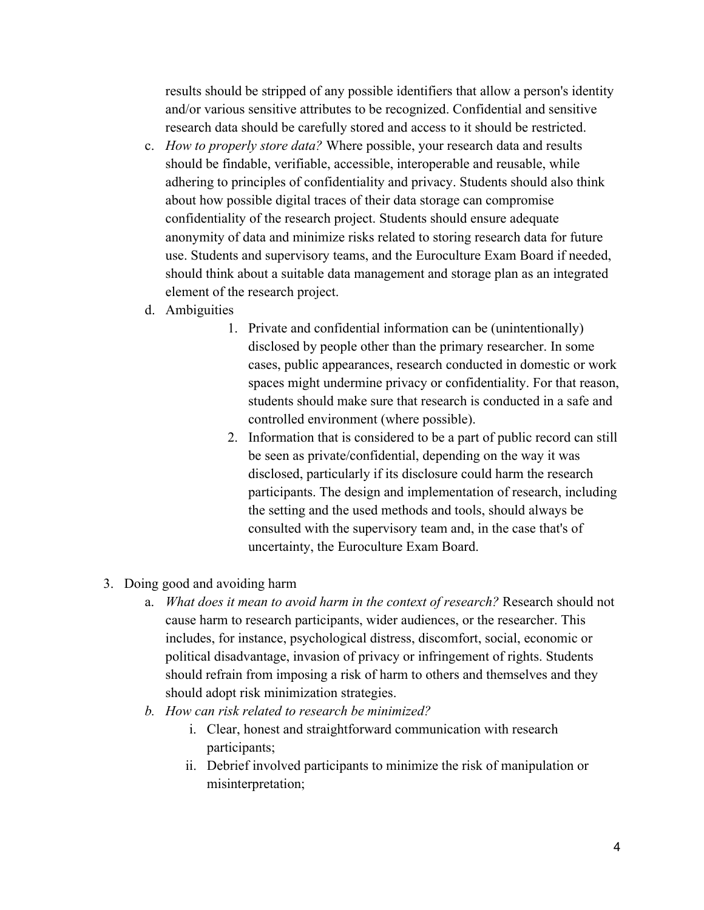results should be stripped of any possible identifiers that allow a person's identity and/or various sensitive attributes to be recognized. Confidential and sensitive research data should be carefully stored and access to it should be restricted.

- c. *How to properly store data?* Where possible, your research data and results should be findable, verifiable, accessible, interoperable and reusable, while adhering to principles of confidentiality and privacy. Students should also think about how possible digital traces of their data storage can compromise confidentiality of the research project. Students should ensure adequate anonymity of data and minimize risks related to storing research data for future use. Students and supervisory teams, and the Euroculture Exam Board if needed, should think about a suitable data management and storage plan as an integrated element of the research project.
- d. Ambiguities
	- 1. Private and confidential information can be (unintentionally) disclosed by people other than the primary researcher. In some cases, public appearances, research conducted in domestic or work spaces might undermine privacy or confidentiality. For that reason, students should make sure that research is conducted in a safe and controlled environment (where possible).
	- 2. Information that is considered to be a part of public record can still be seen as private/confidential, depending on the way it was disclosed, particularly if its disclosure could harm the research participants. The design and implementation of research, including the setting and the used methods and tools, should always be consulted with the supervisory team and, in the case that's of uncertainty, the Euroculture Exam Board.
- 3. Doing good and avoiding harm
	- a. *What does it mean to avoid harm in the context of research?* Research should not cause harm to research participants, wider audiences, or the researcher. This includes, for instance, psychological distress, discomfort, social, economic or political disadvantage, invasion of privacy or infringement of rights. Students should refrain from imposing a risk of harm to others and themselves and they should adopt risk minimization strategies.
	- *b. How can risk related to research be minimized?* 
		- i. Clear, honest and straightforward communication with research participants;
		- ii. Debrief involved participants to minimize the risk of manipulation or misinterpretation;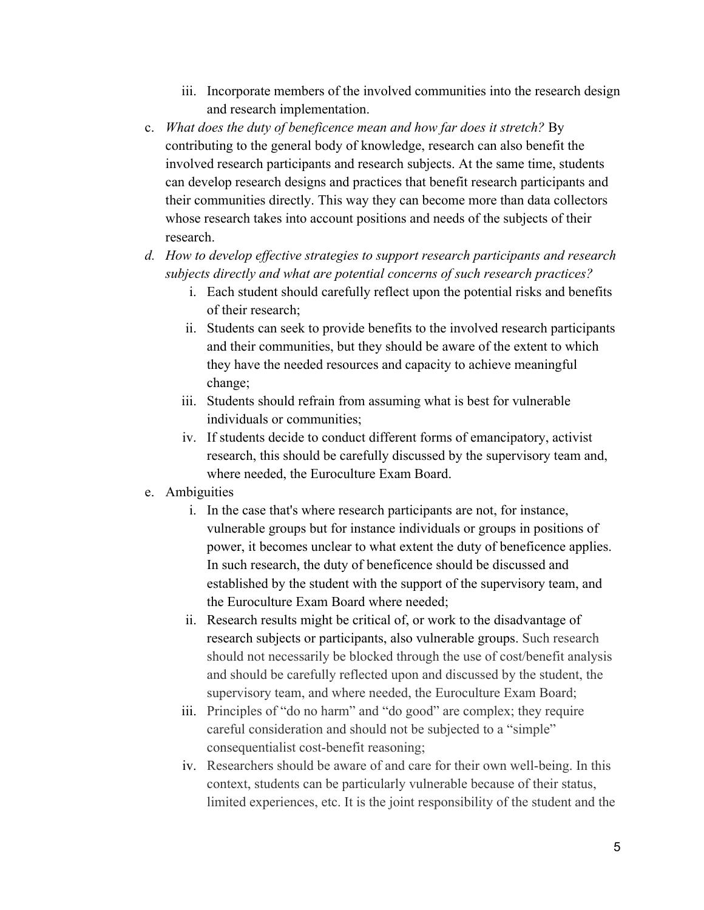- iii. Incorporate members of the involved communities into the research design and research implementation.
- c. *What does the duty of beneficence mean and how far does it stretch?* By contributing to the general body of knowledge, research can also benefit the involved research participants and research subjects. At the same time, students can develop research designs and practices that benefit research participants and their communities directly. This way they can become more than data collectors whose research takes into account positions and needs of the subjects of their research.
- *d. How to develop effective strategies to support research participants and research subjects directly and what are potential concerns of such research practices?*
	- i. Each student should carefully reflect upon the potential risks and benefits of their research;
	- ii. Students can seek to provide benefits to the involved research participants and their communities, but they should be aware of the extent to which they have the needed resources and capacity to achieve meaningful change;
	- iii. Students should refrain from assuming what is best for vulnerable individuals or communities;
	- iv. If students decide to conduct different forms of emancipatory, activist research, this should be carefully discussed by the supervisory team and, where needed, the Euroculture Exam Board.
- e. Ambiguities
	- i. In the case that's where research participants are not, for instance, vulnerable groups but for instance individuals or groups in positions of power, it becomes unclear to what extent the duty of beneficence applies. In such research, the duty of beneficence should be discussed and established by the student with the support of the supervisory team, and the Euroculture Exam Board where needed;
	- ii. Research results might be critical of, or work to the disadvantage of research subjects or participants, also vulnerable groups. Such research should not necessarily be blocked through the use of cost/benefit analysis and should be carefully reflected upon and discussed by the student, the supervisory team, and where needed, the Euroculture Exam Board;
	- iii. Principles of "do no harm" and "do good" are complex; they require careful consideration and should not be subjected to a "simple" consequentialist cost-benefit reasoning;
	- iv. Researchers should be aware of and care for their own well-being. In this context, students can be particularly vulnerable because of their status, limited experiences, etc. It is the joint responsibility of the student and the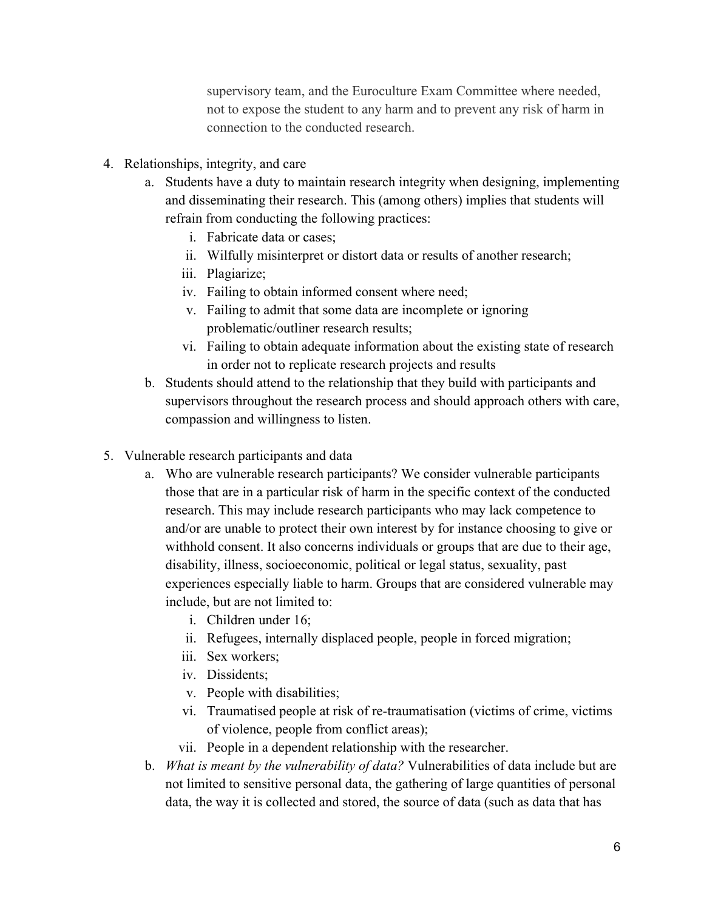supervisory team, and the Euroculture Exam Committee where needed, not to expose the student to any harm and to prevent any risk of harm in connection to the conducted research.

- 4. Relationships, integrity, and care
	- a. Students have a duty to maintain research integrity when designing, implementing and disseminating their research. This (among others) implies that students will refrain from conducting the following practices:
		- i. Fabricate data or cases;
		- ii. Wilfully misinterpret or distort data or results of another research;
		- iii. Plagiarize;
		- iv. Failing to obtain informed consent where need;
		- v. Failing to admit that some data are incomplete or ignoring problematic/outliner research results;
		- vi. Failing to obtain adequate information about the existing state of research in order not to replicate research projects and results
	- b. Students should attend to the relationship that they build with participants and supervisors throughout the research process and should approach others with care, compassion and willingness to listen.
- 5. Vulnerable research participants and data
	- a. Who are vulnerable research participants? We consider vulnerable participants those that are in a particular risk of harm in the specific context of the conducted research. This may include research participants who may lack competence to and/or are unable to protect their own interest by for instance choosing to give or withhold consent. It also concerns individuals or groups that are due to their age, disability, illness, socioeconomic, political or legal status, sexuality, past experiences especially liable to harm. Groups that are considered vulnerable may include, but are not limited to:
		- i. Children under 16;
		- ii. Refugees, internally displaced people, people in forced migration;
		- iii. Sex workers;
		- iv. Dissidents;
		- v. People with disabilities;
		- vi. Traumatised people at risk of re-traumatisation (victims of crime, victims of violence, people from conflict areas);
		- vii. People in a dependent relationship with the researcher.
	- b. *What is meant by the vulnerability of data?* Vulnerabilities of data include but are not limited to sensitive personal data, the gathering of large quantities of personal data, the way it is collected and stored, the source of data (such as data that has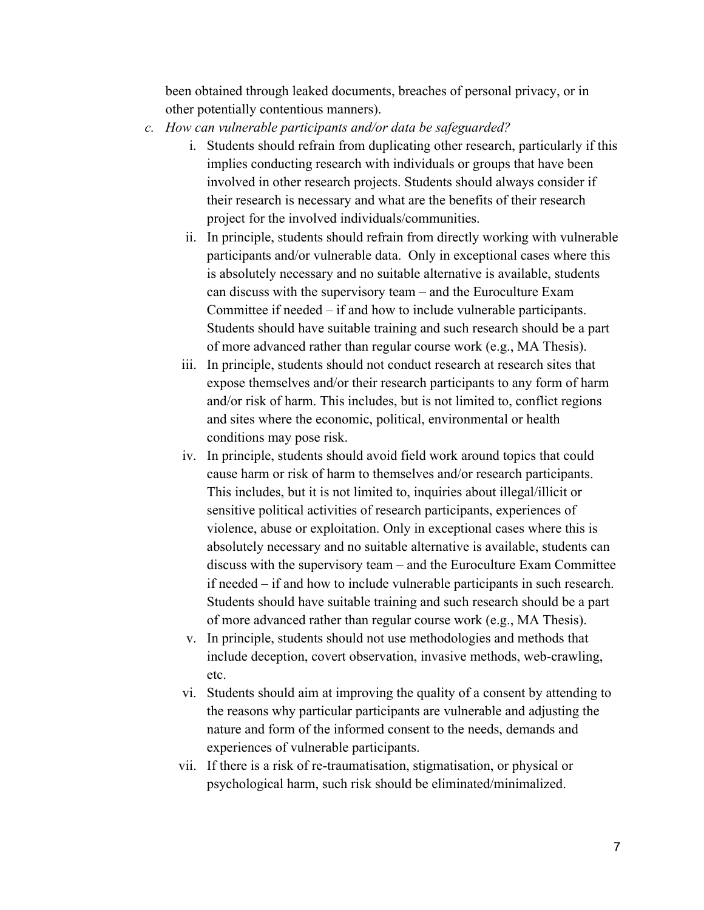been obtained through leaked documents, breaches of personal privacy, or in other potentially contentious manners).

- *c. How can vulnerable participants and/or data be safeguarded?* 
	- i. Students should refrain from duplicating other research, particularly if this implies conducting research with individuals or groups that have been involved in other research projects. Students should always consider if their research is necessary and what are the benefits of their research project for the involved individuals/communities.
	- ii. In principle, students should refrain from directly working with vulnerable participants and/or vulnerable data. Only in exceptional cases where this is absolutely necessary and no suitable alternative is available, students can discuss with the supervisory team – and the Euroculture Exam Committee if needed – if and how to include vulnerable participants. Students should have suitable training and such research should be a part of more advanced rather than regular course work (e.g., MA Thesis).
	- iii. In principle, students should not conduct research at research sites that expose themselves and/or their research participants to any form of harm and/or risk of harm. This includes, but is not limited to, conflict regions and sites where the economic, political, environmental or health conditions may pose risk.
	- iv. In principle, students should avoid field work around topics that could cause harm or risk of harm to themselves and/or research participants. This includes, but it is not limited to, inquiries about illegal/illicit or sensitive political activities of research participants, experiences of violence, abuse or exploitation. Only in exceptional cases where this is absolutely necessary and no suitable alternative is available, students can discuss with the supervisory team – and the Euroculture Exam Committee if needed – if and how to include vulnerable participants in such research. Students should have suitable training and such research should be a part of more advanced rather than regular course work (e.g., MA Thesis).
	- v. In principle, students should not use methodologies and methods that include deception, covert observation, invasive methods, web-crawling, etc.
	- vi. Students should aim at improving the quality of a consent by attending to the reasons why particular participants are vulnerable and adjusting the nature and form of the informed consent to the needs, demands and experiences of vulnerable participants.
	- vii. If there is a risk of re-traumatisation, stigmatisation, or physical or psychological harm, such risk should be eliminated/minimalized.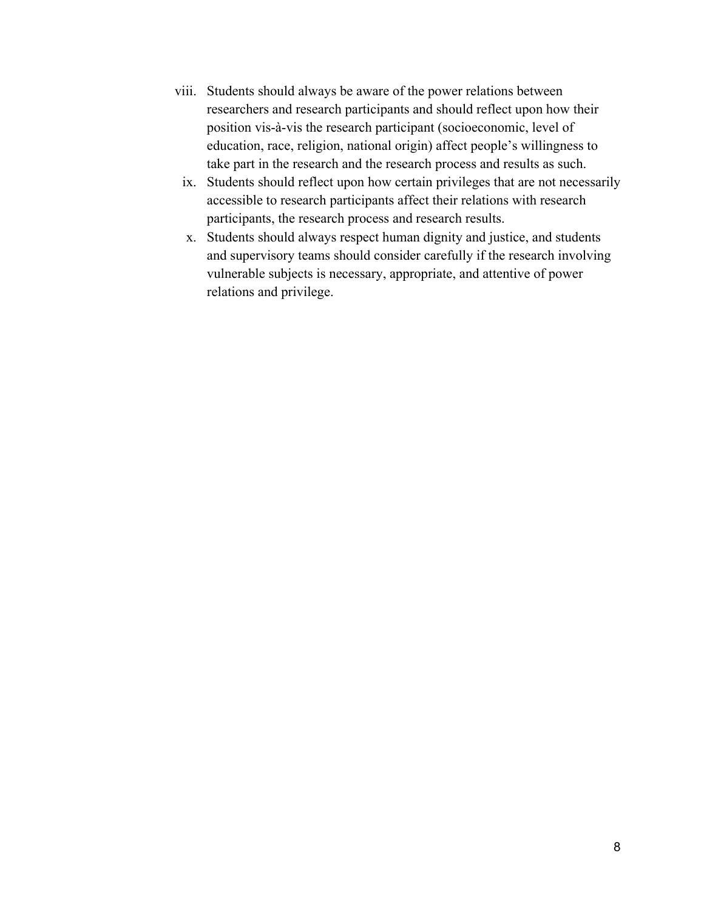- viii. Students should always be aware of the power relations between researchers and research participants and should reflect upon how their position vis-à-vis the research participant (socioeconomic, level of education, race, religion, national origin) affect people's willingness to take part in the research and the research process and results as such.
	- ix. Students should reflect upon how certain privileges that are not necessarily accessible to research participants affect their relations with research participants, the research process and research results.
	- x. Students should always respect human dignity and justice, and students and supervisory teams should consider carefully if the research involving vulnerable subjects is necessary, appropriate, and attentive of power relations and privilege.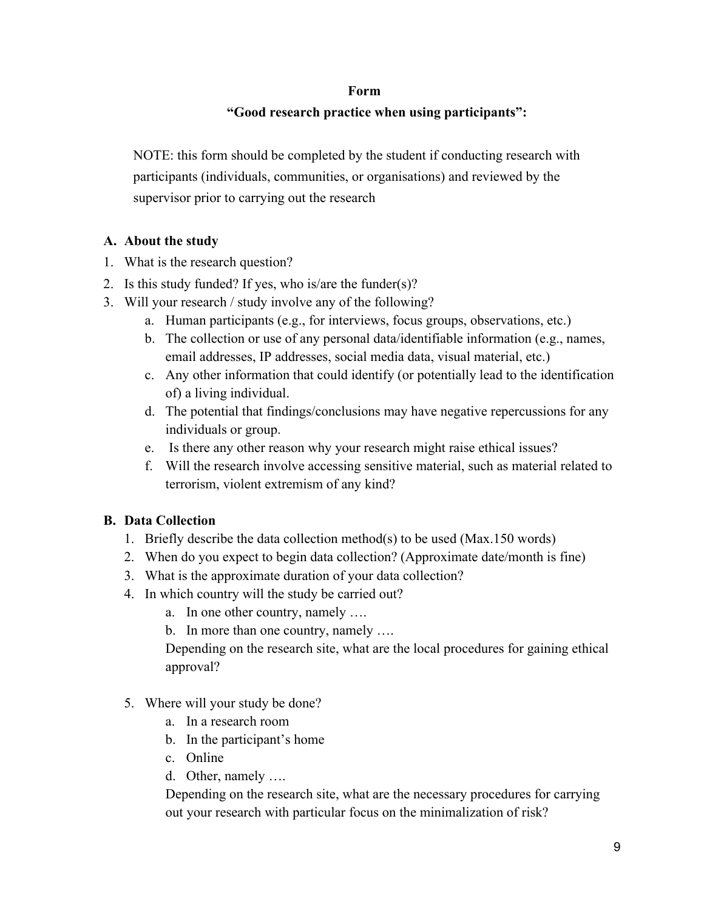#### **Form**

# **"Good research practice when using participants":**

NOTE: this form should be completed by the student if conducting research with participants (individuals, communities, or organisations) and reviewed by the supervisor prior to carrying out the research

# **A. About the study**

- 1. What is the research question?
- 2. Is this study funded? If yes, who is/are the funder(s)?
- 3. Will your research / study involve any of the following?
	- a. Human participants (e.g., for interviews, focus groups, observations, etc.)
	- b. The collection or use of any personal data/identifiable information (e.g., names, email addresses, IP addresses, social media data, visual material, etc.)
	- c. Any other information that could identify (or potentially lead to the identification of) a living individual.
	- d. The potential that findings/conclusions may have negative repercussions for any individuals or group.
	- e. Is there any other reason why your research might raise ethical issues?
	- f. Will the research involve accessing sensitive material, such as material related to terrorism, violent extremism of any kind?

# **B. Data Collection**

- 1. Briefly describe the data collection method(s) to be used (Max.150 words)
- 2. When do you expect to begin data collection? (Approximate date/month is fine)
- 3. What is the approximate duration of your data collection?
- 4. In which country will the study be carried out?
	- a. In one other country, namely ….
	- b. In more than one country, namely ….

Depending on the research site, what are the local procedures for gaining ethical approval?

- 5. Where will your study be done?
	- a. In a research room
	- b. In the participant's home
	- c. Online
	- d. Other, namely ….

Depending on the research site, what are the necessary procedures for carrying out your research with particular focus on the minimalization of risk?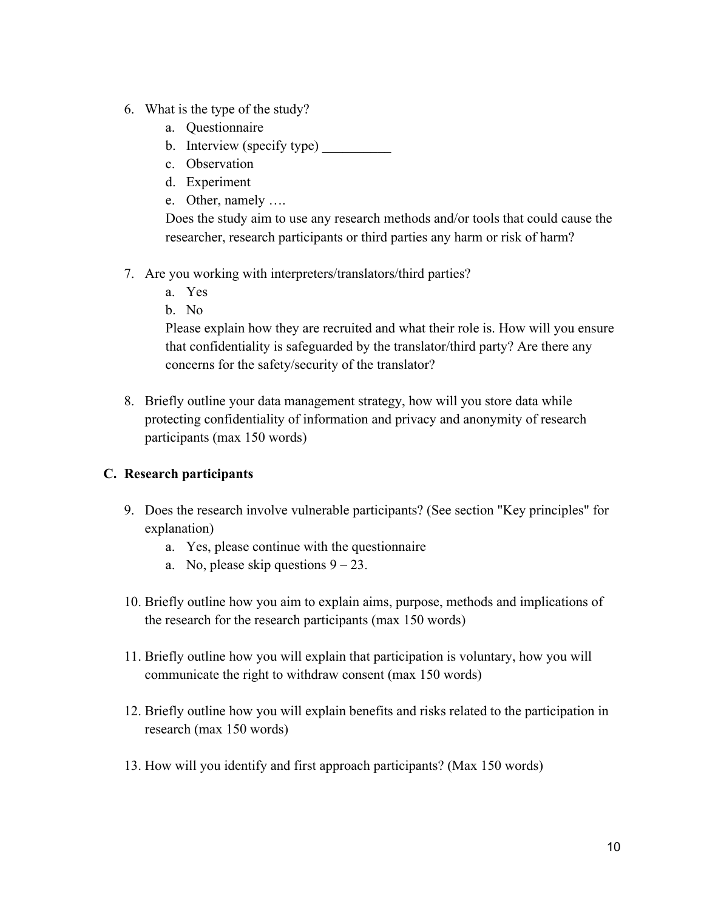- 6. What is the type of the study?
	- a. Questionnaire
	- b. Interview (specify type)
	- c. Observation
	- d. Experiment
	- e. Other, namely ….

Does the study aim to use any research methods and/or tools that could cause the researcher, research participants or third parties any harm or risk of harm?

- 7. Are you working with interpreters/translators/third parties?
	- a. Yes
	- b. No

Please explain how they are recruited and what their role is. How will you ensure that confidentiality is safeguarded by the translator/third party? Are there any concerns for the safety/security of the translator?

8. Briefly outline your data management strategy, how will you store data while protecting confidentiality of information and privacy and anonymity of research participants (max 150 words)

# **C. Research participants**

- 9. Does the research involve vulnerable participants? (See section "Key principles" for explanation)
	- a. Yes, please continue with the questionnaire
	- a. No, please skip questions  $9 23$ .
- 10. Briefly outline how you aim to explain aims, purpose, methods and implications of the research for the research participants (max 150 words)
- 11. Briefly outline how you will explain that participation is voluntary, how you will communicate the right to withdraw consent (max 150 words)
- 12. Briefly outline how you will explain benefits and risks related to the participation in research (max 150 words)
- 13. How will you identify and first approach participants? (Max 150 words)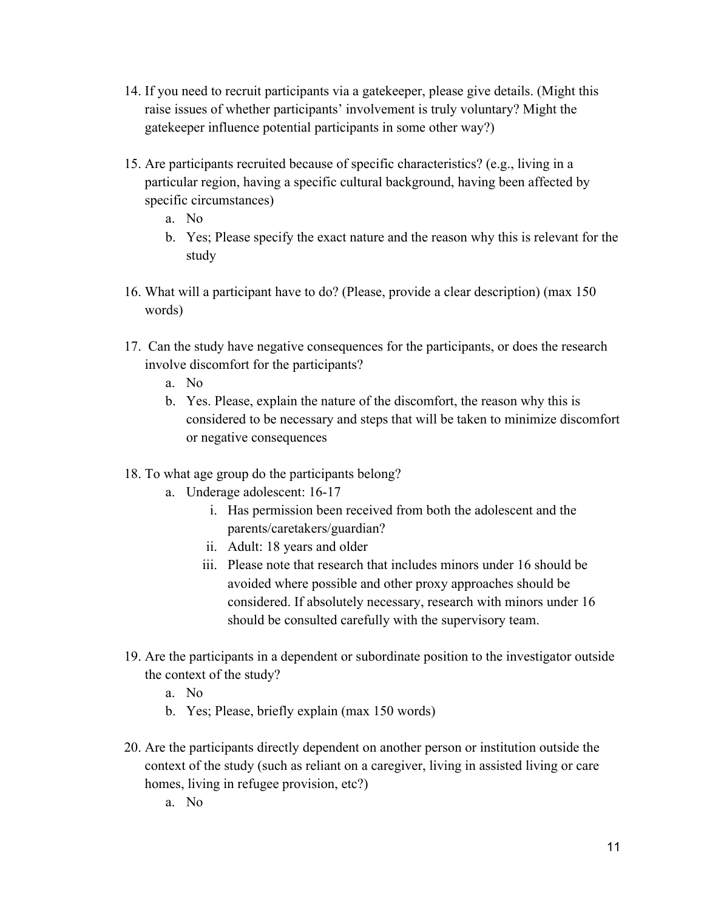- 14. If you need to recruit participants via a gatekeeper, please give details. (Might this raise issues of whether participants' involvement is truly voluntary? Might the gatekeeper influence potential participants in some other way?)
- 15. Are participants recruited because of specific characteristics? (e.g., living in a particular region, having a specific cultural background, having been affected by specific circumstances)
	- a. No
	- b. Yes; Please specify the exact nature and the reason why this is relevant for the study
- 16. What will a participant have to do? (Please, provide a clear description) (max 150 words)
- 17. Can the study have negative consequences for the participants, or does the research involve discomfort for the participants?
	- a. No
	- b. Yes. Please, explain the nature of the discomfort, the reason why this is considered to be necessary and steps that will be taken to minimize discomfort or negative consequences
- 18. To what age group do the participants belong?
	- a. Underage adolescent: 16-17
		- i. Has permission been received from both the adolescent and the parents/caretakers/guardian?
		- ii. Adult: 18 years and older
		- iii. Please note that research that includes minors under 16 should be avoided where possible and other proxy approaches should be considered. If absolutely necessary, research with minors under 16 should be consulted carefully with the supervisory team.
- 19. Are the participants in a dependent or subordinate position to the investigator outside the context of the study?
	- a. No
	- b. Yes; Please, briefly explain (max 150 words)
- 20. Are the participants directly dependent on another person or institution outside the context of the study (such as reliant on a caregiver, living in assisted living or care homes, living in refugee provision, etc?)
	- a. No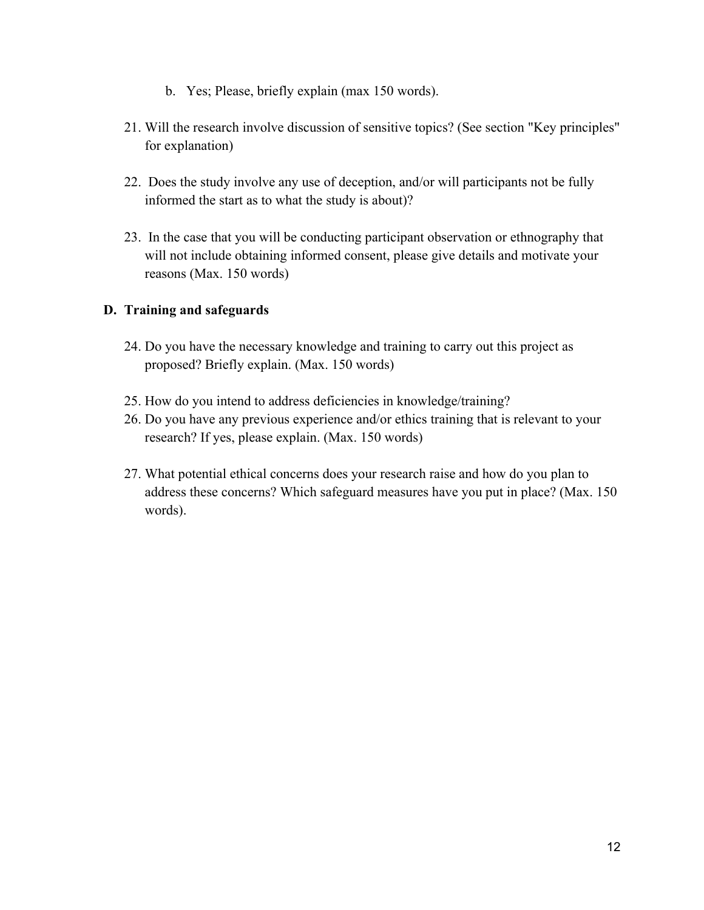- b. Yes; Please, briefly explain (max 150 words).
- 21. Will the research involve discussion of sensitive topics? (See section "Key principles" for explanation)
- 22. Does the study involve any use of deception, and/or will participants not be fully informed the start as to what the study is about)?
- 23. In the case that you will be conducting participant observation or ethnography that will not include obtaining informed consent, please give details and motivate your reasons (Max. 150 words)

# **D. Training and safeguards**

- 24. Do you have the necessary knowledge and training to carry out this project as proposed? Briefly explain. (Max. 150 words)
- 25. How do you intend to address deficiencies in knowledge/training?
- 26. Do you have any previous experience and/or ethics training that is relevant to your research? If yes, please explain. (Max. 150 words)
- 27. What potential ethical concerns does your research raise and how do you plan to address these concerns? Which safeguard measures have you put in place? (Max. 150 words).